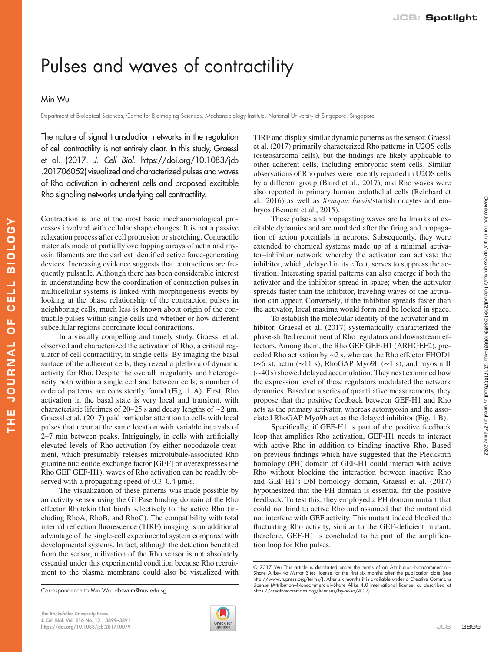## Pulses and waves of contractility

## Min Wu

THE JOURNAL OF CELL BIOLOGY

JOURNAL

ш H

ELL  $\overline{c}$ u.  $\cup$ 

**BIOLOGY** 

Department of Biological Sciences, Centre for Bioimaging Sciences, Mechanobiology Institute, National University of Singapore, Singapore

The nature of signal transduction networks in the regulation of cell contractility is not entirely clear. In this study, Graessl et al. (2017. *J. Cell Biol.* [https://doi.org/10.1083/jcb](https://doi.org/10.1083/jcb.201706052) [.201706052](https://doi.org/10.1083/jcb.201706052)) visualized and characterized pulses and waves of Rho activation in adherent cells and proposed excitable Rho signaling networks underlying cell contractility.

Contraction is one of the most basic mechanobiological processes involved with cellular shape changes. It is not a passive relaxation process after cell protrusion or stretching. Contractile materials made of partially overlapping arrays of actin and myosin filaments are the earliest identified active force-generating devices. Increasing evidence suggests that contractions are frequently pulsatile. Although there has been considerable interest in understanding how the coordination of contraction pulses in multicellular systems is linked with morphogenesis events by looking at the phase relationship of the contraction pulses in neighboring cells, much less is known about origin of the contractile pulses within single cells and whether or how different subcellular regions coordinate local contractions.

In a visually compelling and timely study, Graessl et al. observed and characterized the activation of Rho, a critical regulator of cell contractility, in single cells. By imaging the basal surface of the adherent cells, they reveal a plethora of dynamic activity for Rho. Despite the overall irregularity and heterogeneity both within a single cell and between cells, a number of ordered patterns are consistently found [\(Fig. 1 A](#page-1-0)). First, Rho activation in the basal state is very local and transient, with characteristic lifetimes of 20–25 s and decay lengths of ∼2 µm. [Graessl et al. \(2017\)](#page-2-0) paid particular attention to cells with local pulses that recur at the same location with variable intervals of 2–7 min between peaks. Intriguingly, in cells with artificially elevated levels of Rho activation (by either nocodazole treatment, which presumably releases microtubule-associated Rho guanine nucleotide exchange factor [GEF] or overexpresses the Rho GEF GEF-H1), waves of Rho activation can be readily observed with a propagating speed of  $0.3-0.4 \mu m/s$ .

The visualization of these patterns was made possible by an activity sensor using the GTPase binding domain of the Rho effector Rhotekin that binds selectively to the active Rho (including RhoA, RhoB, and RhoC). The compatibility with total internal reflection fluorescence (TIRF) imaging is an additional advantage of the single-cell experimental system compared with developmental systems. In fact, although the detection benefited from the sensor, utilization of the Rho sensor is not absolutely essential under this experimental condition because Rho recruitment to the plasma membrane could also be visualized with



TIRF and display similar dynamic patterns as the sensor. [Graessl](#page-2-0) [et al. \(2017\)](#page-2-0) primarily characterized Rho patterns in U2OS cells (osteosarcoma cells), but the findings are likely applicable to other adherent cells, including embryonic stem cells. Similar observations of Rho pulses were recently reported in U2OS cells by a different group ([Baird et al., 2017](#page-2-1)), and Rho waves were also reported in primary human endothelial cells [\(Reinhard et](#page-2-2) [al., 2016](#page-2-2)) as well as *Xenopus laevis*/starfish oocytes and embryos [\(Bement et al., 2015\)](#page-2-3).

These pulses and propagating waves are hallmarks of excitable dynamics and are modeled after the firing and propagation of action potentials in neurons. Subsequently, they were extended to chemical systems made up of a minimal activator–inhibitor network whereby the activator can activate the inhibitor, which, delayed in its effect, serves to suppress the activation. Interesting spatial patterns can also emerge if both the activator and the inhibitor spread in space; when the activator spreads faster than the inhibitor, traveling waves of the activation can appear. Conversely, if the inhibitor spreads faster than the activator, local maxima would form and be locked in space.

To establish the molecular identity of the activator and inhibitor, [Graessl et al. \(2017\)](#page-2-0) systematically characterized the phase-shifted recruitment of Rho regulators and downstream effectors. Among them, the Rho GEF GEF-H1 (ARHGEF2), preceded Rho activation by ∼2 s, whereas the Rho effector FHOD1 (∼6 s), actin (∼11 s), RhoGAP Myo9b (∼1 s), and myosin II (∼40 s) showed delayed accumulation. They next examined how the expression level of these regulators modulated the network dynamics. Based on a series of quantitative measurements, they propose that the positive feedback between GEF-H1 and Rho acts as the primary activator, whereas actomyosin and the associated RhoGAP Myo9b act as the delayed inhibitor [\(Fig. 1 B\)](#page-1-0).

Specifically, if GEF-H1 is part of the positive feedback loop that amplifies Rho activation, GEF-H1 needs to interact with active Rho in addition to binding inactive Rho. Based on previous findings which have suggested that the Pleckstrin homology (PH) domain of GEF-H1 could interact with active Rho without blocking the interaction between inactive Rho and GEF-H1's Dbl homology domain, [Graessl et al. \(2017\)](#page-2-0) hypothesized that the PH domain is essential for the positive feedback. To test this, they employed a PH domain mutant that could not bind to active Rho and assumed that the mutant did not interfere with GEF activity. This mutant indeed blocked the fluctuating Rho activity, similar to the GEF-deficient mutant; therefore, GEF-H1 is concluded to be part of the amplification loop for Rho pulses.

Correspondence to Min Wu: [dbswum@nus.edu.sg](mailto:) [https://creativecommons.org/licenses/by-nc-sa/4.0](https://creativecommons.org/licenses/by-nc-sa/4.0/)/).

<sup>© 2017</sup> Wu This article is distributed under the terms of an Attribution–Noncommercial– Share Alike–No Mirror Sites license for the first six months after the publication date (see <http://www.rupress.org/terms/>). After six months it is available under a Creative Commons License (Attribution–Noncommercial–Share Alike 4.0 International license, as described at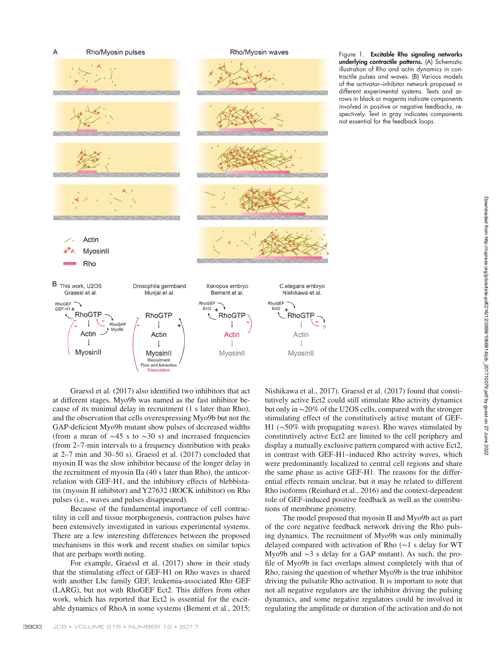

<span id="page-1-0"></span>Figure 1. Excitable Rho signaling networks underlying contractile patterns. (A) Schematic illustration of Rho and actin dynamics in contractile pulses and waves. (B) Various models of the activator–inhibitor network proposed in different experimental systems. Texts and arrows in black or magenta indicate components involved in positive or negative feedbacks, respectively. Text in gray indicates components not essential for the feedback loops.

[Graessl et al. \(2017\)](#page-2-0) also identified two inhibitors that act at different stages. Myo9b was named as the fast inhibitor because of its minimal delay in recruitment (1 s later than Rho), and the observation that cells overexpressing Myo9b but not the GAP-deficient Myo9b mutant show pulses of decreased widths (from a mean of  $\sim$ 45 s to  $\sim$ 30 s) and increased frequencies (from 2–7-min intervals to a frequency distribution with peaks at 2–7 min and 30–50 s). [Graessl et al. \(2017\)](#page-2-0) concluded that myosin II was the slow inhibitor because of the longer delay in the recruitment of myosin IIa (40 s later than Rho), the anticorrelation with GEF-H1, and the inhibitory effects of blebbistatin (myosin II inhibitor) and Y27632 (ROCK inhibitor) on Rho pulses (i.e., waves and pulses disappeared).

Because of the fundamental importance of cell contractility in cell and tissue morphogenesis, contraction pulses have been extensively investigated in various experimental systems. There are a few interesting differences between the proposed mechanisms in this work and recent studies on similar topics that are perhaps worth noting.

For example, [Graessl et al. \(2017\)](#page-2-0) show in their study that the stimulating effect of GEF-H1 on Rho waves is shared with another Lbc family GEF, leukemia-associated Rho GEF (LARG), but not with RhoGEF Ect2. This differs from other work, which has reported that Ect2 is essential for the excitable dynamics of RhoA in some systems [\(Bement et al., 2015](#page-2-3); [Nishikawa et al., 2017](#page-2-4)). [Graessl et al. \(2017\)](#page-2-0) found that constitutively active Ect2 could still stimulate Rho activity dynamics but only in ∼20% of the U2OS cells, compared with the stronger stimulating effect of the constitutively active mutant of GEF-H1 (∼50% with propagating waves). Rho waves stimulated by constitutively active Ect2 are limited to the cell periphery and display a mutually exclusive pattern compared with active Ect2, in contrast with GEF-H1–induced Rho activity waves, which were predominantly localized to central cell regions and share the same phase as active GEF-H1. The reasons for the differential effects remain unclear, but it may be related to different Rho isoforms [\(Reinhard et al., 2016](#page-2-2)) and the context-dependent role of GEF-induced positive feedback as well as the contributions of membrane geometry.

The model proposed that myosin II and Myo9b act as part of the core negative feedback network driving the Rho pulsing dynamics. The recruitment of Myo9b was only minimally delayed compared with activation of Rho (∼1 s delay for WT Myo9b and ∼3 s delay for a GAP mutant). As such, the profile of Myo9b in fact overlaps almost completely with that of Rho, raising the question of whether Myo9b is the true inhibitor driving the pulsatile Rho activation. It is important to note that not all negative regulators are the inhibitor driving the pulsing dynamics, and some negative regulators could be involved in regulating the amplitude or duration of the activation and do not